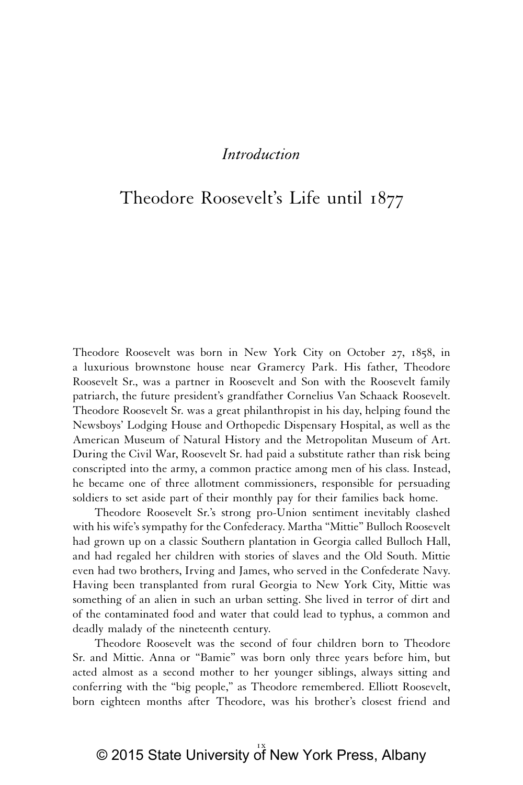## *Introduction*

## Theodore Roosevelt's Life until 1877

Theodore Roosevelt was born in New York City on October 27, 1858, in a luxurious brownstone house near Gramercy Park. His father, Theodore Roosevelt Sr., was a partner in Roosevelt and Son with the Roosevelt family patriarch, the future president's grandfather Cornelius Van Schaack Roosevelt. Theodore Roosevelt Sr. was a great philanthropist in his day, helping found the Newsboys' Lodging House and Orthopedic Dispensary Hospital, as well as the American Museum of Natural History and the Metropolitan Museum of Art. During the Civil War, Roosevelt Sr. had paid a substitute rather than risk being conscripted into the army, a common practice among men of his class. Instead, he became one of three allotment commissioners, responsible for persuading soldiers to set aside part of their monthly pay for their families back home.

Theodore Roosevelt Sr.'s strong pro-Union sentiment inevitably clashed with his wife's sympathy for the Confederacy. Martha "Mittie" Bulloch Roosevelt had grown up on a classic Southern plantation in Georgia called Bulloch Hall, and had regaled her children with stories of slaves and the Old South. Mittie even had two brothers, Irving and James, who served in the Confederate Navy. Having been transplanted from rural Georgia to New York City, Mittie was something of an alien in such an urban setting. She lived in terror of dirt and of the contaminated food and water that could lead to typhus, a common and deadly malady of the nineteenth century.

Theodore Roosevelt was the second of four children born to Theodore Sr. and Mittie. Anna or "Bamie" was born only three years before him, but acted almost as a second mother to her younger siblings, always sitting and conferring with the "big people," as Theodore remembered. Elliott Roosevelt, born eighteen months after Theodore, was his brother's closest friend and

© 2015 State University  $\stackrel{\text{i}}{\text{of}}$  New York Press, Albany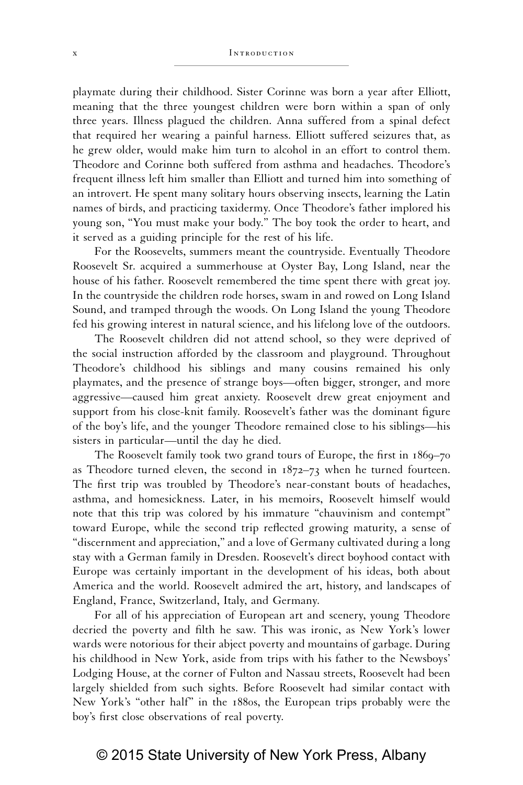playmate during their childhood. Sister Corinne was born a year after Elliott, meaning that the three youngest children were born within a span of only three years. Illness plagued the children. Anna suffered from a spinal defect that required her wearing a painful harness. Elliott suffered seizures that, as he grew older, would make him turn to alcohol in an effort to control them. Theodore and Corinne both suffered from asthma and headaches. Theodore's frequent illness left him smaller than Elliott and turned him into something of an introvert. He spent many solitary hours observing insects, learning the Latin names of birds, and practicing taxidermy. Once Theodore's father implored his young son, "You must make your body." The boy took the order to heart, and it served as a guiding principle for the rest of his life.

For the Roosevelts, summers meant the countryside. Eventually Theodore Roosevelt Sr. acquired a summerhouse at Oyster Bay, Long Island, near the house of his father. Roosevelt remembered the time spent there with great joy. In the countryside the children rode horses, swam in and rowed on Long Island Sound, and tramped through the woods. On Long Island the young Theodore fed his growing interest in natural science, and his lifelong love of the outdoors.

The Roosevelt children did not attend school, so they were deprived of the social instruction afforded by the classroom and playground. Throughout Theodore's childhood his siblings and many cousins remained his only playmates, and the presence of strange boys—often bigger, stronger, and more aggressive—caused him great anxiety. Roosevelt drew great enjoyment and support from his close-knit family. Roosevelt's father was the dominant figure of the boy's life, and the younger Theodore remained close to his siblings—his sisters in particular—until the day he died.

The Roosevelt family took two grand tours of Europe, the first in 1869–70 as Theodore turned eleven, the second in 1872–73 when he turned fourteen. The first trip was troubled by Theodore's near-constant bouts of headaches, asthma, and homesickness. Later, in his memoirs, Roosevelt himself would note that this trip was colored by his immature "chauvinism and contempt" toward Europe, while the second trip reflected growing maturity, a sense of "discernment and appreciation," and a love of Germany cultivated during a long stay with a German family in Dresden. Roosevelt's direct boyhood contact with Europe was certainly important in the development of his ideas, both about America and the world. Roosevelt admired the art, history, and landscapes of England, France, Switzerland, Italy, and Germany.

For all of his appreciation of European art and scenery, young Theodore decried the poverty and filth he saw. This was ironic, as New York's lower wards were notorious for their abject poverty and mountains of garbage. During his childhood in New York, aside from trips with his father to the Newsboys' Lodging House, at the corner of Fulton and Nassau streets, Roosevelt had been largely shielded from such sights. Before Roosevelt had similar contact with New York's "other half" in the 1880s, the European trips probably were the boy's first close observations of real poverty.

## © 2015 State University of New York Press, Albany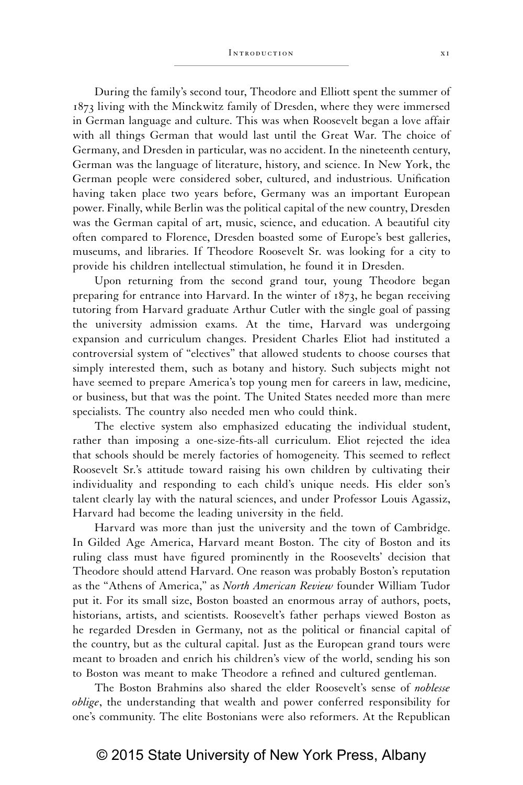During the family's second tour, Theodore and Elliott spent the summer of 1873 living with the Minckwitz family of Dresden, where they were immersed in German language and culture. This was when Roosevelt began a love affair with all things German that would last until the Great War. The choice of Germany, and Dresden in particular, was no accident. In the nineteenth century, German was the language of literature, history, and science. In New York, the German people were considered sober, cultured, and industrious. Unification having taken place two years before, Germany was an important European power. Finally, while Berlin was the political capital of the new country, Dresden was the German capital of art, music, science, and education. A beautiful city often compared to Florence, Dresden boasted some of Europe's best galleries, museums, and libraries. If Theodore Roosevelt Sr. was looking for a city to provide his children intellectual stimulation, he found it in Dresden.

Upon returning from the second grand tour, young Theodore began preparing for entrance into Harvard. In the winter of 1873, he began receiving tutoring from Harvard graduate Arthur Cutler with the single goal of passing the university admission exams. At the time, Harvard was undergoing expansion and curriculum changes. President Charles Eliot had instituted a controversial system of "electives" that allowed students to choose courses that simply interested them, such as botany and history. Such subjects might not have seemed to prepare America's top young men for careers in law, medicine, or business, but that was the point. The United States needed more than mere specialists. The country also needed men who could think.

The elective system also emphasized educating the individual student, rather than imposing a one-size-fits-all curriculum. Eliot rejected the idea that schools should be merely factories of homogeneity. This seemed to reflect Roosevelt Sr.'s attitude toward raising his own children by cultivating their individuality and responding to each child's unique needs. His elder son's talent clearly lay with the natural sciences, and under Professor Louis Agassiz, Harvard had become the leading university in the field.

Harvard was more than just the university and the town of Cambridge. In Gilded Age America, Harvard meant Boston. The city of Boston and its ruling class must have figured prominently in the Roosevelts' decision that Theodore should attend Harvard. One reason was probably Boston's reputation as the "Athens of America," as *North American Review* founder William Tudor put it. For its small size, Boston boasted an enormous array of authors, poets, historians, artists, and scientists. Roosevelt's father perhaps viewed Boston as he regarded Dresden in Germany, not as the political or financial capital of the country, but as the cultural capital. Just as the European grand tours were meant to broaden and enrich his children's view of the world, sending his son to Boston was meant to make Theodore a refined and cultured gentleman.

The Boston Brahmins also shared the elder Roosevelt's sense of *noblesse oblige*, the understanding that wealth and power conferred responsibility for one's community. The elite Bostonians were also reformers. At the Republican